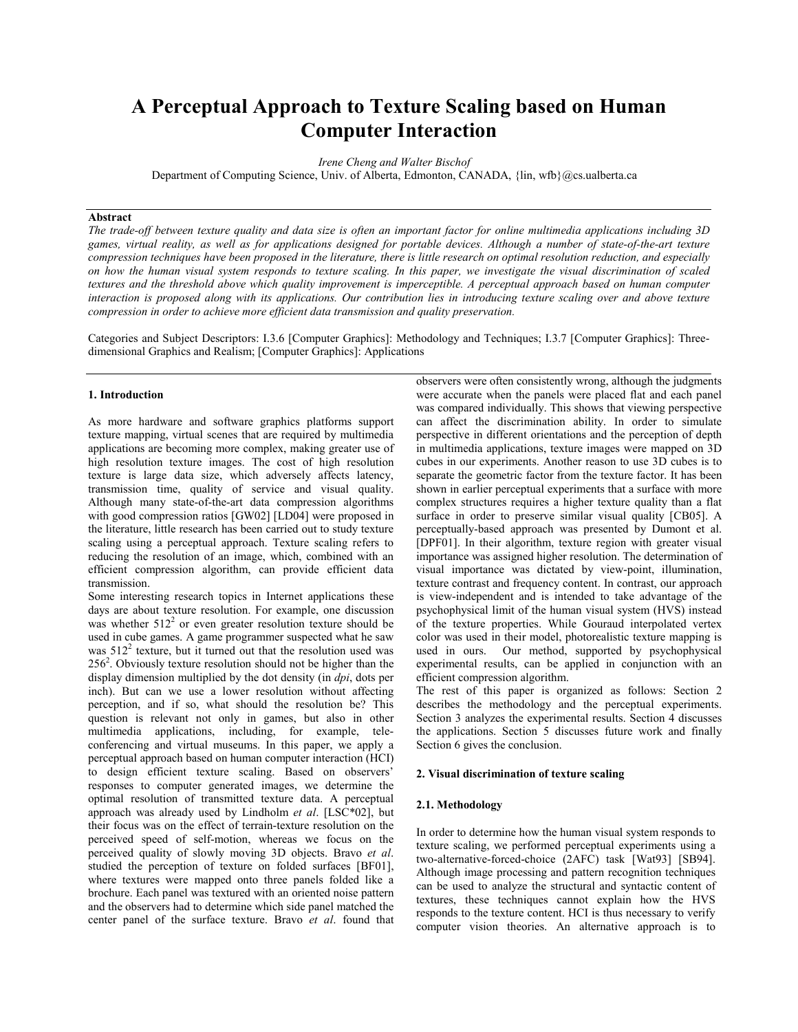# **A Perceptual Approach to Texture Scaling based on Human Computer Interaction**

*Irene Cheng and Walter Bischof* 

Department of Computing Science, Univ. of Alberta, Edmonton, CANADA, { $\{lin, \text{wfb}\}\text{@cs.}$ ualberta.ca

# **Abstract**

*The trade-off between texture quality and data size is often an important factor for online multimedia applications including 3D games, virtual reality, as well as for applications designed for portable devices. Although a number of state-of-the-art texture compression techniques have been proposed in the literature, there is little research on optimal resolution reduction, and especially on how the human visual system responds to texture scaling. In this paper, we investigate the visual discrimination of scaled textures and the threshold above which quality improvement is imperceptible. A perceptual approach based on human computer interaction is proposed along with its applications. Our contribution lies in introducing texture scaling over and above texture compression in order to achieve more efficient data transmission and quality preservation.* 

Categories and Subject Descriptors: I.3.6 [Computer Graphics]: Methodology and Techniques; I.3.7 [Computer Graphics]: Threedimensional Graphics and Realism; [Computer Graphics]: Applications

## **1. Introduction**

As more hardware and software graphics platforms support texture mapping, virtual scenes that are required by multimedia applications are becoming more complex, making greater use of high resolution texture images. The cost of high resolution texture is large data size, which adversely affects latency, transmission time, quality of service and visual quality. Although many state-of-the-art data compression algorithms with good compression ratios [GW02] [LD04] were proposed in the literature, little research has been carried out to study texture scaling using a perceptual approach. Texture scaling refers to reducing the resolution of an image, which, combined with an efficient compression algorithm, can provide efficient data transmission.

Some interesting research topics in Internet applications these days are about texture resolution. For example, one discussion was whether  $512<sup>2</sup>$  or even greater resolution texture should be used in cube games. A game programmer suspected what he saw was  $512<sup>2</sup>$  texture, but it turned out that the resolution used was  $256<sup>2</sup>$ . Obviously texture resolution should not be higher than the display dimension multiplied by the dot density (in *dpi*, dots per inch). But can we use a lower resolution without affecting perception, and if so, what should the resolution be? This question is relevant not only in games, but also in other multimedia applications, including, for example, teleconferencing and virtual museums. In this paper, we apply a perceptual approach based on human computer interaction (HCI) to design efficient texture scaling. Based on observers' responses to computer generated images, we determine the optimal resolution of transmitted texture data. A perceptual approach was already used by Lindholm *et al*. [LSC\*02], but their focus was on the effect of terrain-texture resolution on the perceived speed of self-motion, whereas we focus on the perceived quality of slowly moving 3D objects. Bravo *et al*. studied the perception of texture on folded surfaces [BF01], where textures were mapped onto three panels folded like a brochure. Each panel was textured with an oriented noise pattern and the observers had to determine which side panel matched the center panel of the surface texture. Bravo *et al*. found that

observers were often consistently wrong, although the judgments were accurate when the panels were placed flat and each panel was compared individually. This shows that viewing perspective can affect the discrimination ability. In order to simulate perspective in different orientations and the perception of depth in multimedia applications, texture images were mapped on 3D cubes in our experiments. Another reason to use 3D cubes is to separate the geometric factor from the texture factor. It has been shown in earlier perceptual experiments that a surface with more complex structures requires a higher texture quality than a flat surface in order to preserve similar visual quality [CB05]. A perceptually-based approach was presented by Dumont et al. [DPF01]. In their algorithm, texture region with greater visual importance was assigned higher resolution. The determination of visual importance was dictated by view-point, illumination, texture contrast and frequency content. In contrast, our approach is view-independent and is intended to take advantage of the psychophysical limit of the human visual system (HVS) instead of the texture properties. While Gouraud interpolated vertex color was used in their model, photorealistic texture mapping is used in ours. Our method, supported by psychophysical experimental results, can be applied in conjunction with an efficient compression algorithm.

The rest of this paper is organized as follows: Section 2 describes the methodology and the perceptual experiments. Section 3 analyzes the experimental results. Section 4 discusses the applications. Section 5 discusses future work and finally Section 6 gives the conclusion.

# **2. Visual discrimination of texture scaling**

### **2.1. Methodology**

In order to determine how the human visual system responds to texture scaling, we performed perceptual experiments using a two-alternative-forced-choice (2AFC) task [Wat93] [SB94]. Although image processing and pattern recognition techniques can be used to analyze the structural and syntactic content of textures, these techniques cannot explain how the HVS responds to the texture content. HCI is thus necessary to verify computer vision theories. An alternative approach is to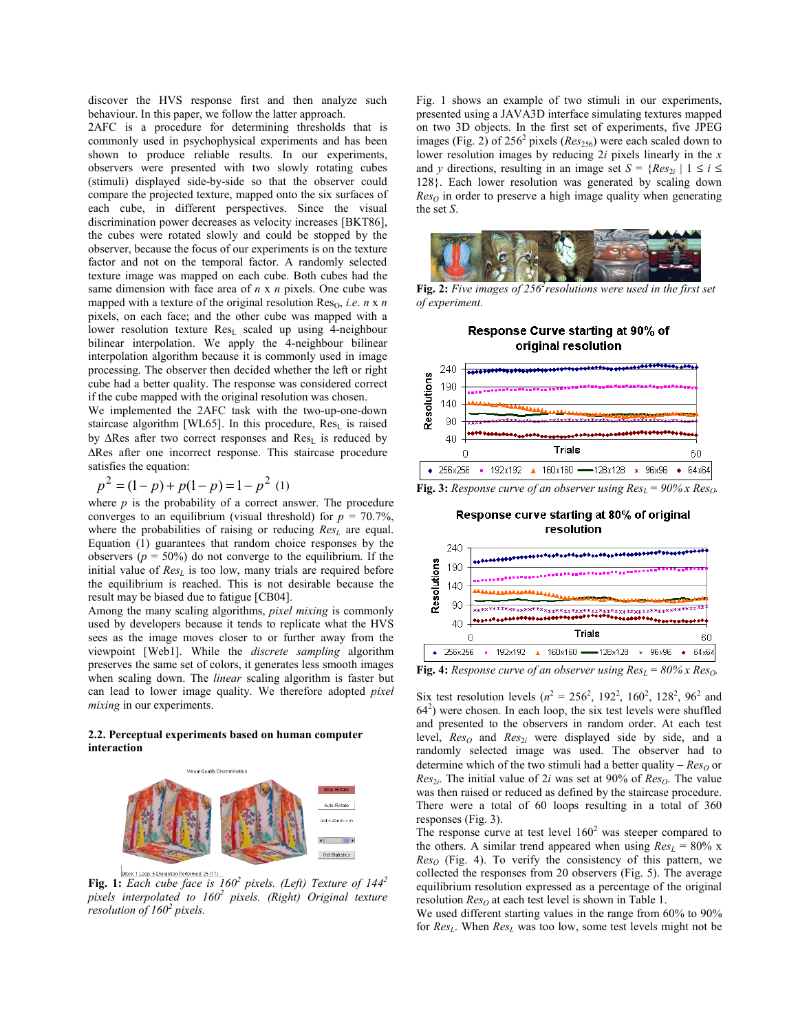discover the HVS response first and then analyze such behaviour. In this paper, we follow the latter approach.

2AFC is a procedure for determining thresholds that is commonly used in psychophysical experiments and has been shown to produce reliable results. In our experiments, observers were presented with two slowly rotating cubes (stimuli) displayed side-by-side so that the observer could compare the projected texture, mapped onto the six surfaces of each cube, in different perspectives. Since the visual discrimination power decreases as velocity increases [BKT86], the cubes were rotated slowly and could be stopped by the observer, because the focus of our experiments is on the texture factor and not on the temporal factor. A randomly selected texture image was mapped on each cube. Both cubes had the same dimension with face area of *n* x *n* pixels. One cube was mapped with a texture of the original resolution  $Res_0$ , *i.e. n* x *n* pixels, on each face; and the other cube was mapped with a lower resolution texture  $Res<sub>L</sub>$  scaled up using 4-neighbour bilinear interpolation. We apply the 4-neighbour bilinear interpolation algorithm because it is commonly used in image processing. The observer then decided whether the left or right cube had a better quality. The response was considered correct if the cube mapped with the original resolution was chosen.

We implemented the 2AFC task with the two-up-one-down staircase algorithm [WL65]. In this procedure, Res<sub>L</sub> is raised by ∆Res after two correct responses and Res<sub>L</sub> is reduced by ∆Res after one incorrect response. This staircase procedure satisfies the equation:

$$
p^{2} = (1-p) + p(1-p) = 1 - p^{2} (1)
$$

where  $p$  is the probability of a correct answer. The procedure converges to an equilibrium (visual threshold) for  $p = 70.7\%$ , where the probabilities of raising or reducing  $Res<sub>L</sub>$  are equal. Equation (1) guarantees that random choice responses by the observers ( $p = 50\%$ ) do not converge to the equilibrium. If the initial value of  $Res<sub>L</sub>$  is too low, many trials are required before the equilibrium is reached. This is not desirable because the result may be biased due to fatigue [CB04].

Among the many scaling algorithms, *pixel mixing* is commonly used by developers because it tends to replicate what the HVS sees as the image moves closer to or further away from the viewpoint [Web1]. While the *discrete sampling* algorithm preserves the same set of colors, it generates less smooth images when scaling down. The *linear* scaling algorithm is faster but can lead to lower image quality. We therefore adopted *pixel mixing* in our experiments.

#### **2.2. Perceptual experiments based on human computer interaction**



**Fig. 1:** *Each cube face is 160<sup>2</sup> pixels. (Left) Texture of 144<sup>2</sup> pixels interpolated to 160<sup>2</sup> pixels. (Right) Original texture resolution of 160<sup>2</sup> pixels.*

Fig. 1 shows an example of two stimuli in our experiments, presented using a JAVA3D interface simulating textures mapped on two 3D objects. In the first set of experiments, five JPEG images (Fig. 2) of 256<sup>2</sup> pixels (*Res*<sub>256</sub>) were each scaled down to lower resolution images by reducing 2*i* pixels linearly in the *x*  and *y* directions, resulting in an image set  $S = {Res_{2i} | 1 \le i \le n}$ 128}. Each lower resolution was generated by scaling down  $Res<sub>O</sub>$  in order to preserve a high image quality when generating the set *S*.



Fig. 2: Five images of 256<sup>2</sup> resolutions were used in the first set *of experiment.*





**Fig. 3:** *Response curve of an observer using*  $Res_l = 90\%$  *x*  $Res_l$ *.* 

Response curve starting at 80% of original resolution



**Fig. 4:** *Response curve of an observer using*  $Res_{L} = 80\%$  *x*  $Res_{Q}$ *.* 

Six test resolution levels ( $n^2 = 256^2$ , 192<sup>2</sup>, 160<sup>2</sup>, 128<sup>2</sup>, 96<sup>2</sup> and  $64<sup>2</sup>$ ) were chosen. In each loop, the six test levels were shuffled and presented to the observers in random order. At each test level,  $Res_O$  and  $Res_{2i}$  were displayed side by side, and a randomly selected image was used. The observer had to determine which of the two stimuli had a better quality – *Res*<sub>O</sub> or *Res*<sub>2*i*</sub>. The initial value of 2*i* was set at 90% of  $Res<sub>O</sub>$ . The value was then raised or reduced as defined by the staircase procedure. There were a total of 60 loops resulting in a total of 360 responses (Fig. 3).

The response curve at test level  $160<sup>2</sup>$  was steeper compared to the others. A similar trend appeared when using  $Res_L = 80\%$  x  $Res<sub>O</sub>$  (Fig. 4). To verify the consistency of this pattern, we collected the responses from 20 observers (Fig. 5). The average equilibrium resolution expressed as a percentage of the original resolution  $Res<sub>O</sub>$  at each test level is shown in Table 1.

We used different starting values in the range from 60% to 90% for  $Res<sub>L</sub>$ . When  $Res<sub>L</sub>$  was too low, some test levels might not be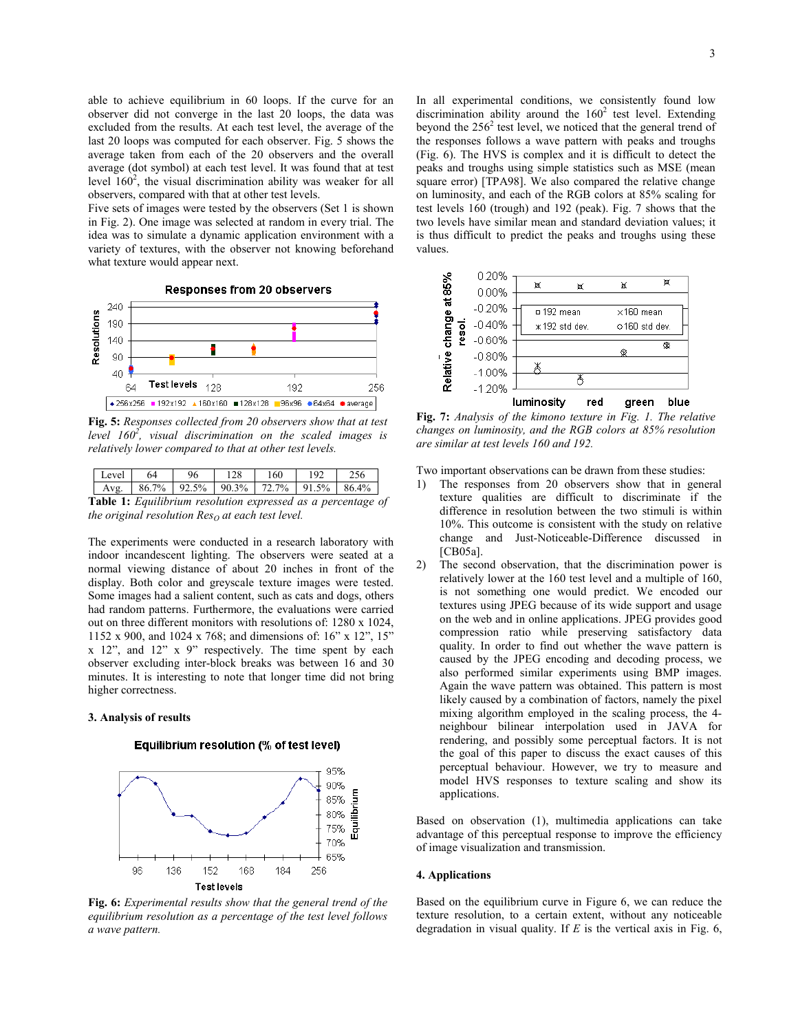able to achieve equilibrium in 60 loops. If the curve for an observer did not converge in the last 20 loops, the data was excluded from the results. At each test level, the average of the last 20 loops was computed for each observer. Fig. 5 shows the average taken from each of the 20 observers and the overall average (dot symbol) at each test level. It was found that at test level  $160^2$ , the visual discrimination ability was weaker for all observers, compared with that at other test levels.

Five sets of images were tested by the observers (Set 1 is shown in Fig. 2). One image was selected at random in every trial. The idea was to simulate a dynamic application environment with a variety of textures, with the observer not knowing beforehand what texture would appear next.



**Fig. 5:** *Responses collected from 20 observers show that at test level 160<sup>2</sup> , visual discrimination on the scaled images is relatively lower compared to that at other test levels.*

| Level                                                                                                                                            | 54    | 96 |                | 160   |       |      |
|--------------------------------------------------------------------------------------------------------------------------------------------------|-------|----|----------------|-------|-------|------|
| Aνσ                                                                                                                                              | 86.7% |    | $92.5\%$ 90.3% | 72.7% | 91.5% | 864% |
| $\mathbf{r}$ $\mathbf{r}$ $\mathbf{r}$ $\mathbf{r}$ $\mathbf{r}$ $\mathbf{r}$ $\mathbf{r}$ $\mathbf{r}$ $\mathbf{r}$ $\mathbf{r}$<br>P. L. L. 4. |       |    |                |       |       |      |

**Table 1:** *Equilibrium resolution expressed as a percentage of the original resolution*  $Res<sub>O</sub>$  *at each test level.* 

The experiments were conducted in a research laboratory with indoor incandescent lighting. The observers were seated at a normal viewing distance of about 20 inches in front of the display. Both color and greyscale texture images were tested. Some images had a salient content, such as cats and dogs, others had random patterns. Furthermore, the evaluations were carried out on three different monitors with resolutions of: 1280 x 1024, 1152 x 900, and 1024 x 768; and dimensions of: 16" x 12", 15" x 12", and 12" x 9" respectively. The time spent by each observer excluding inter-block breaks was between 16 and 30 minutes. It is interesting to note that longer time did not bring higher correctness.

# **3. Analysis of results**

# Equilibrium resolution (% of test level)



**Fig. 6:** *Experimental results show that the general trend of the equilibrium resolution as a percentage of the test level follows a wave pattern.*

In all experimental conditions, we consistently found low discrimination ability around the  $160<sup>2</sup>$  test level. Extending beyond the  $256<sup>2</sup>$  test level, we noticed that the general trend of the responses follows a wave pattern with peaks and troughs (Fig. 6). The HVS is complex and it is difficult to detect the peaks and troughs using simple statistics such as MSE (mean square error) [TPA98]. We also compared the relative change on luminosity, and each of the RGB colors at 85% scaling for test levels 160 (trough) and 192 (peak). Fig. 7 shows that the two levels have similar mean and standard deviation values; it is thus difficult to predict the peaks and troughs using these values.



**Fig. 7:** *Analysis of the kimono texture in Fig. 1. The relative changes on luminosity, and the RGB colors at 85% resolution are similar at test levels 160 and 192.*

Two important observations can be drawn from these studies:

- 1) The responses from 20 observers show that in general texture qualities are difficult to discriminate if the difference in resolution between the two stimuli is within 10%. This outcome is consistent with the study on relative change and Just-Noticeable-Difference discussed in [CB05a].
- 2) The second observation, that the discrimination power is relatively lower at the 160 test level and a multiple of 160, is not something one would predict. We encoded our textures using JPEG because of its wide support and usage on the web and in online applications. JPEG provides good compression ratio while preserving satisfactory data quality. In order to find out whether the wave pattern is caused by the JPEG encoding and decoding process, we also performed similar experiments using BMP images. Again the wave pattern was obtained. This pattern is most likely caused by a combination of factors, namely the pixel mixing algorithm employed in the scaling process, the 4 neighbour bilinear interpolation used in JAVA for rendering, and possibly some perceptual factors. It is not the goal of this paper to discuss the exact causes of this perceptual behaviour. However, we try to measure and model HVS responses to texture scaling and show its applications.

Based on observation (1), multimedia applications can take advantage of this perceptual response to improve the efficiency of image visualization and transmission.

#### **4. Applications**

Based on the equilibrium curve in Figure 6, we can reduce the texture resolution, to a certain extent, without any noticeable degradation in visual quality. If *E* is the vertical axis in Fig. 6,